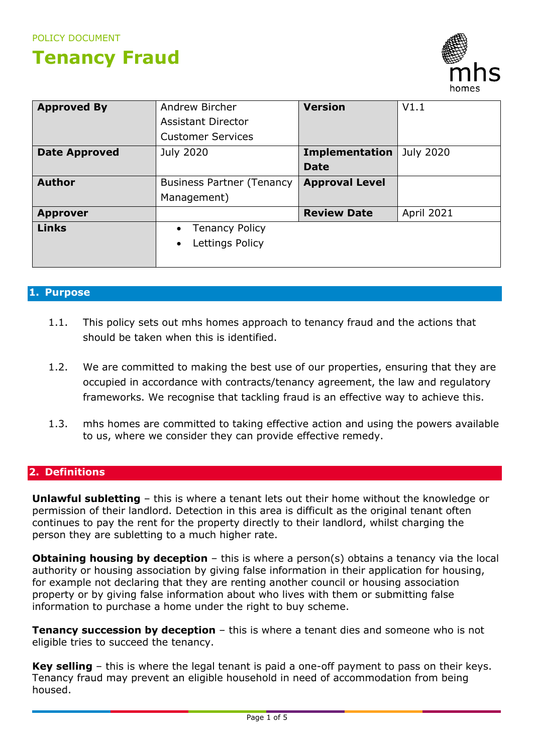# **Tenancy Fraud**



| <b>Approved By</b>   | V1.1<br>Andrew Bircher<br><b>Version</b>        |                       |            |
|----------------------|-------------------------------------------------|-----------------------|------------|
|                      | <b>Assistant Director</b>                       |                       |            |
|                      | <b>Customer Services</b>                        |                       |            |
| <b>Date Approved</b> | July 2020<br>July 2020<br><b>Implementation</b> |                       |            |
|                      |                                                 | <b>Date</b>           |            |
| <b>Author</b>        | <b>Business Partner (Tenancy</b>                | <b>Approval Level</b> |            |
|                      | Management)                                     |                       |            |
| <b>Approver</b>      |                                                 | <b>Review Date</b>    | April 2021 |
| <b>Links</b>         | <b>Tenancy Policy</b><br>$\bullet$              |                       |            |
|                      | Lettings Policy<br>$\bullet$                    |                       |            |
|                      |                                                 |                       |            |

## **1. Purpose**

- 1.1. This policy sets out mhs homes approach to tenancy fraud and the actions that should be taken when this is identified.
- 1.2. We are committed to making the best use of our properties, ensuring that they are occupied in accordance with contracts/tenancy agreement, the law and regulatory frameworks. We recognise that tackling fraud is an effective way to achieve this.
- 1.3. mhs homes are committed to taking effective action and using the powers available to us, where we consider they can provide effective remedy.

# **2. Definitions**

**Unlawful subletting** – this is where a tenant lets out their home without the knowledge or permission of their landlord. Detection in this area is difficult as the original tenant often continues to pay the rent for the property directly to their landlord, whilst charging the person they are subletting to a much higher rate.

**Obtaining housing by deception** – this is where a person(s) obtains a tenancy via the local authority or housing association by giving false information in their application for housing, for example not declaring that they are renting another council or housing association property or by giving false information about who lives with them or submitting false information to purchase a home under the right to buy scheme.

**Tenancy succession by deception** - this is where a tenant dies and someone who is not eligible tries to succeed the tenancy.

**Key selling** – this is where the legal tenant is paid a one-off payment to pass on their keys. Tenancy fraud may prevent an eligible household in need of accommodation from being housed.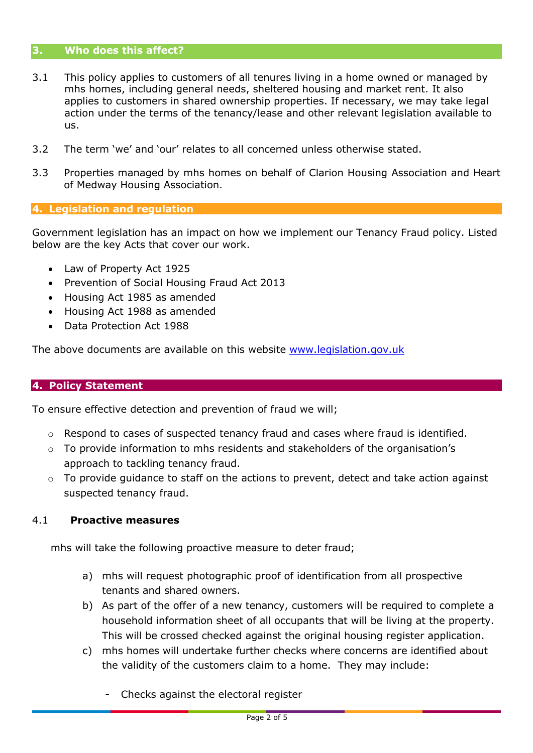#### **3. Who does this affect?**

- 3.1 This policy applies to customers of all tenures living in a home owned or managed by mhs homes, including general needs, sheltered housing and market rent. It also applies to customers in shared ownership properties. If necessary, we may take legal action under the terms of the tenancy/lease and other relevant legislation available to us.
- 3.2 The term 'we' and 'our' relates to all concerned unless otherwise stated.
- 3.3 Properties managed by mhs homes on behalf of Clarion Housing Association and Heart of Medway Housing Association.

### **4. Legislation and regulation**

Government legislation has an impact on how we implement our Tenancy Fraud policy. Listed below are the key Acts that cover our work.

- Law of Property Act 1925
- Prevention of Social Housing Fraud Act 2013
- Housing Act 1985 as amended
- Housing Act 1988 as amended
- Data Protection Act 1988

The above documents are available on this website [www.legislation.gov.uk](http://www.legislation.gov.uk/)

#### **4. Policy Statement**

To ensure effective detection and prevention of fraud we will;

- $\circ$  Respond to cases of suspected tenancy fraud and cases where fraud is identified.
- $\circ$  To provide information to mhs residents and stakeholders of the organisation's approach to tackling tenancy fraud.
- $\circ$  To provide guidance to staff on the actions to prevent, detect and take action against suspected tenancy fraud.

#### 4.1 **Proactive measures**

mhs will take the following proactive measure to deter fraud;

- a) mhs will request photographic proof of identification from all prospective tenants and shared owners.
- b) As part of the offer of a new tenancy, customers will be required to complete a household information sheet of all occupants that will be living at the property. This will be crossed checked against the original housing register application.
- c) mhs homes will undertake further checks where concerns are identified about the validity of the customers claim to a home. They may include:
	- Checks against the electoral register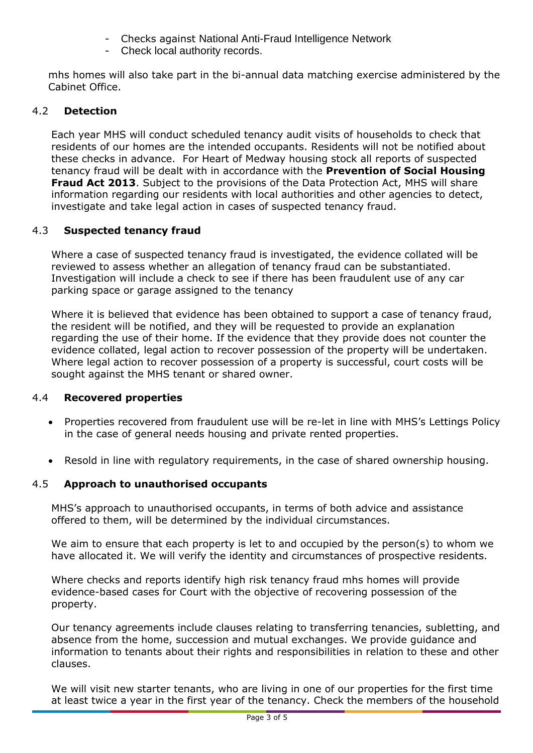- Checks against National Anti-Fraud Intelligence Network
- Check local authority records.

mhs homes will also take part in the bi-annual data matching exercise administered by the Cabinet Office.

# 4.2 **Detection**

Each year MHS will conduct scheduled tenancy audit visits of households to check that residents of our homes are the intended occupants. Residents will not be notified about these checks in advance. For Heart of Medway housing stock all reports of suspected tenancy fraud will be dealt with in accordance with the **Prevention of Social Housing Fraud Act 2013**. Subject to the provisions of the Data Protection Act, MHS will share information regarding our residents with local authorities and other agencies to detect, investigate and take legal action in cases of suspected tenancy fraud.

# 4.3 **Suspected tenancy fraud**

Where a case of suspected tenancy fraud is investigated, the evidence collated will be reviewed to assess whether an allegation of tenancy fraud can be substantiated. Investigation will include a check to see if there has been fraudulent use of any car parking space or garage assigned to the tenancy

Where it is believed that evidence has been obtained to support a case of tenancy fraud, the resident will be notified, and they will be requested to provide an explanation regarding the use of their home. If the evidence that they provide does not counter the evidence collated, legal action to recover possession of the property will be undertaken. Where legal action to recover possession of a property is successful, court costs will be sought against the MHS tenant or shared owner.

## 4.4 **Recovered properties**

- Properties recovered from fraudulent use will be re-let in line with MHS's Lettings Policy in the case of general needs housing and private rented properties.
- Resold in line with regulatory requirements, in the case of shared ownership housing.

## 4.5 **Approach to unauthorised occupants**

MHS's approach to unauthorised occupants, in terms of both advice and assistance offered to them, will be determined by the individual circumstances.

We aim to ensure that each property is let to and occupied by the person(s) to whom we have allocated it. We will verify the identity and circumstances of prospective residents.

Where checks and reports identify high risk tenancy fraud mhs homes will provide evidence-based cases for Court with the objective of recovering possession of the property.

Our tenancy agreements include clauses relating to transferring tenancies, subletting, and absence from the home, succession and mutual exchanges. We provide guidance and information to tenants about their rights and responsibilities in relation to these and other clauses.

We will visit new starter tenants, who are living in one of our properties for the first time at least twice a year in the first year of the tenancy. Check the members of the household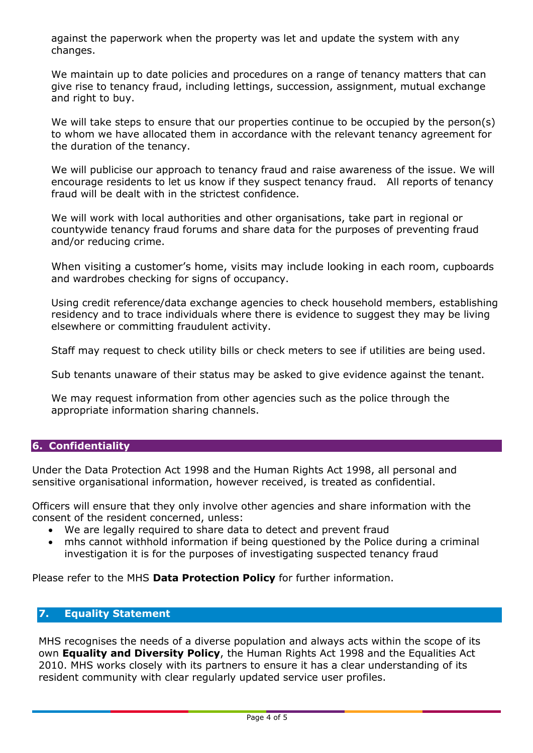against the paperwork when the property was let and update the system with any changes.

We maintain up to date policies and procedures on a range of tenancy matters that can give rise to tenancy fraud, including lettings, succession, assignment, mutual exchange and right to buy.

We will take steps to ensure that our properties continue to be occupied by the person(s) to whom we have allocated them in accordance with the relevant tenancy agreement for the duration of the tenancy.

We will publicise our approach to tenancy fraud and raise awareness of the issue. We will encourage residents to let us know if they suspect tenancy fraud. All reports of tenancy fraud will be dealt with in the strictest confidence.

We will work with local authorities and other organisations, take part in regional or countywide tenancy fraud forums and share data for the purposes of preventing fraud and/or reducing crime.

When visiting a customer's home, visits may include looking in each room, cupboards and wardrobes checking for signs of occupancy.

Using credit reference/data exchange agencies to check household members, establishing residency and to trace individuals where there is evidence to suggest they may be living elsewhere or committing fraudulent activity.

Staff may request to check utility bills or check meters to see if utilities are being used.

Sub tenants unaware of their status may be asked to give evidence against the tenant.

We may request information from other agencies such as the police through the appropriate information sharing channels.

# **6. Confidentiality**

Under the Data Protection Act 1998 and the Human Rights Act 1998, all personal and sensitive organisational information, however received, is treated as confidential.

Officers will ensure that they only involve other agencies and share information with the consent of the resident concerned, unless:

- We are legally required to share data to detect and prevent fraud
- mhs cannot withhold information if being questioned by the Police during a criminal investigation it is for the purposes of investigating suspected tenancy fraud

Please refer to the MHS **Data Protection Policy** for further information.

# **7. Equality Statement**

MHS recognises the needs of a diverse population and always acts within the scope of its own **Equality and Diversity Policy**, the Human Rights Act 1998 and the Equalities Act 2010. MHS works closely with its partners to ensure it has a clear understanding of its resident community with clear regularly updated service user profiles.